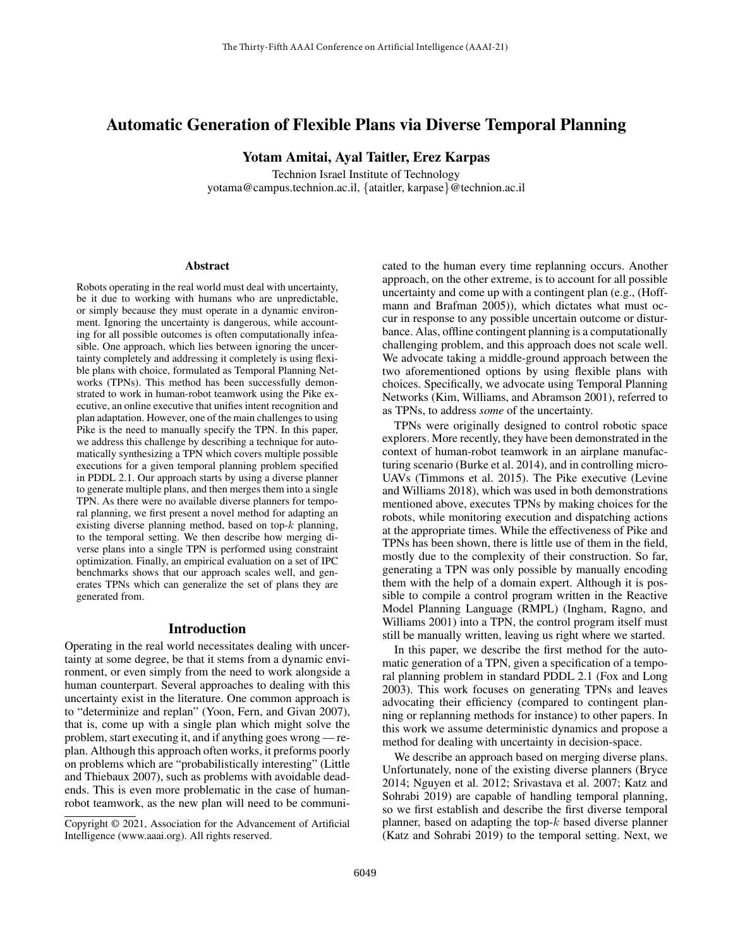# Automatic Generation of Flexible Plans via Diverse Temporal Planning

Yotam Amitai, Ayal Taitler, Erez Karpas

Technion Israel Institute of Technology yotama@campus.technion.ac.il, {ataitler, karpase}@technion.ac.il

#### **Abstract**

Robots operating in the real world must deal with uncertainty, be it due to working with humans who are unpredictable, or simply because they must operate in a dynamic environment. Ignoring the uncertainty is dangerous, while accounting for all possible outcomes is often computationally infeasible. One approach, which lies between ignoring the uncertainty completely and addressing it completely is using flexible plans with choice, formulated as Temporal Planning Networks (TPNs). This method has been successfully demonstrated to work in human-robot teamwork using the Pike executive, an online executive that unifies intent recognition and plan adaptation. However, one of the main challenges to using Pike is the need to manually specify the TPN. In this paper, we address this challenge by describing a technique for automatically synthesizing a TPN which covers multiple possible executions for a given temporal planning problem specified in PDDL 2.1. Our approach starts by using a diverse planner to generate multiple plans, and then merges them into a single TPN. As there were no available diverse planners for temporal planning, we first present a novel method for adapting an existing diverse planning method, based on top- $k$  planning, to the temporal setting. We then describe how merging diverse plans into a single TPN is performed using constraint optimization. Finally, an empirical evaluation on a set of IPC benchmarks shows that our approach scales well, and generates TPNs which can generalize the set of plans they are generated from.

#### Introduction

Operating in the real world necessitates dealing with uncertainty at some degree, be that it stems from a dynamic environment, or even simply from the need to work alongside a human counterpart. Several approaches to dealing with this uncertainty exist in the literature. One common approach is to "determinize and replan" (Yoon, Fern, and Givan 2007), that is, come up with a single plan which might solve the problem, start executing it, and if anything goes wrong — replan. Although this approach often works, it preforms poorly on problems which are "probabilistically interesting" (Little and Thiebaux 2007), such as problems with avoidable deadends. This is even more problematic in the case of humanrobot teamwork, as the new plan will need to be communicated to the human every time replanning occurs. Another approach, on the other extreme, is to account for all possible uncertainty and come up with a contingent plan (e.g., (Hoffmann and Brafman 2005)), which dictates what must occur in response to any possible uncertain outcome or disturbance. Alas, offline contingent planning is a computationally challenging problem, and this approach does not scale well. We advocate taking a middle-ground approach between the two aforementioned options by using flexible plans with choices. Specifically, we advocate using Temporal Planning Networks (Kim, Williams, and Abramson 2001), referred to as TPNs, to address *some* of the uncertainty.

TPNs were originally designed to control robotic space explorers. More recently, they have been demonstrated in the context of human-robot teamwork in an airplane manufacturing scenario (Burke et al. 2014), and in controlling micro-UAVs (Timmons et al. 2015). The Pike executive (Levine and Williams 2018), which was used in both demonstrations mentioned above, executes TPNs by making choices for the robots, while monitoring execution and dispatching actions at the appropriate times. While the effectiveness of Pike and TPNs has been shown, there is little use of them in the field, mostly due to the complexity of their construction. So far, generating a TPN was only possible by manually encoding them with the help of a domain expert. Although it is possible to compile a control program written in the Reactive Model Planning Language (RMPL) (Ingham, Ragno, and Williams 2001) into a TPN, the control program itself must still be manually written, leaving us right where we started.

In this paper, we describe the first method for the automatic generation of a TPN, given a specification of a temporal planning problem in standard PDDL 2.1 (Fox and Long 2003). This work focuses on generating TPNs and leaves advocating their efficiency (compared to contingent planning or replanning methods for instance) to other papers. In this work we assume deterministic dynamics and propose a method for dealing with uncertainty in decision-space.

We describe an approach based on merging diverse plans. Unfortunately, none of the existing diverse planners (Bryce 2014; Nguyen et al. 2012; Srivastava et al. 2007; Katz and Sohrabi 2019) are capable of handling temporal planning, so we first establish and describe the first diverse temporal planner, based on adapting the top- $k$  based diverse planner (Katz and Sohrabi 2019) to the temporal setting. Next, we

Copyright © 2021, Association for the Advancement of Artificial Intelligence (www.aaai.org). All rights reserved.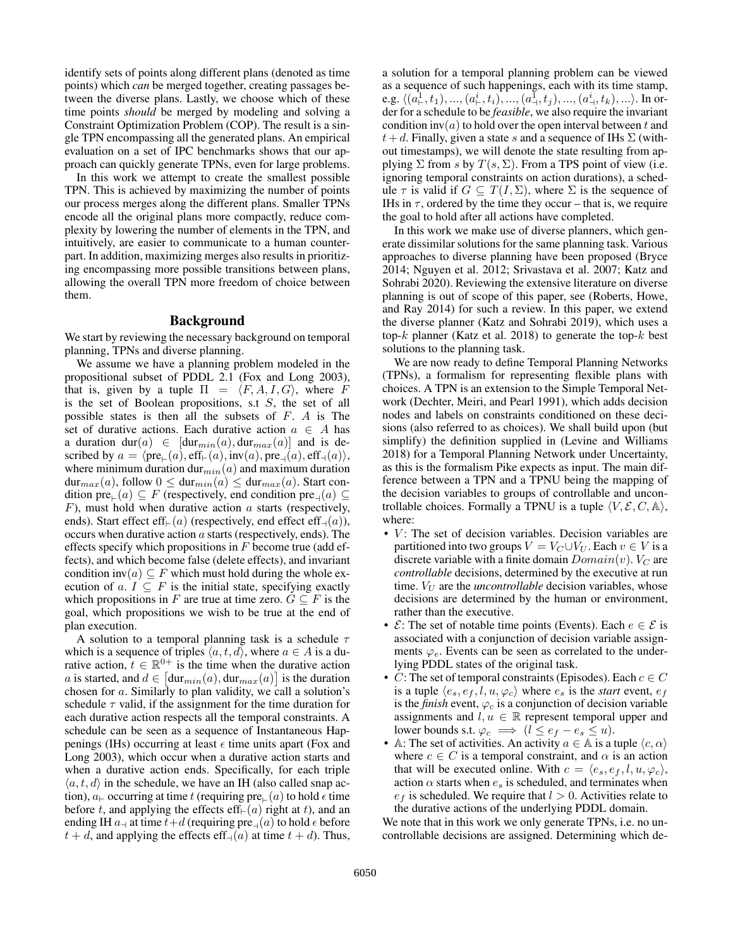identify sets of points along different plans (denoted as time points) which *can* be merged together, creating passages between the diverse plans. Lastly, we choose which of these time points *should* be merged by modeling and solving a Constraint Optimization Problem (COP). The result is a single TPN encompassing all the generated plans. An empirical evaluation on a set of IPC benchmarks shows that our approach can quickly generate TPNs, even for large problems.

In this work we attempt to create the smallest possible TPN. This is achieved by maximizing the number of points our process merges along the different plans. Smaller TPNs encode all the original plans more compactly, reduce complexity by lowering the number of elements in the TPN, and intuitively, are easier to communicate to a human counterpart. In addition, maximizing merges also results in prioritizing encompassing more possible transitions between plans, allowing the overall TPN more freedom of choice between them.

#### Background

We start by reviewing the necessary background on temporal planning, TPNs and diverse planning.

We assume we have a planning problem modeled in the propositional subset of PDDL 2.1 (Fox and Long 2003), that is, given by a tuple  $\Pi = \langle F, A, I, G \rangle$ , where F is the set of Boolean propositions, s.t S, the set of all possible states is then all the subsets of F. A is The set of durative actions. Each durative action  $a \in A$  has a duration dur(a)  $\in$  [dur<sub>min</sub>(a), dur<sub>max</sub>(a)] and is described by  $a = \langle pre_{\vdash}(a), \text{eff}_{\vdash}(a), \text{inv}(a), \text{pre}_{\dashv}(a), \text{eff}_{\dashv}(a) \rangle$ , where minimum duration dur<sub>min</sub>(a) and maximum duration  $dur_{max}(a)$ , follow  $0 \leq dur_{min}(a) \leq dur_{max}(a)$ . Start condition  $pre_{\vdash}(a) \subseteq F$  (respectively, end condition  $pre_{\dashv}(a) \subseteq$  $F$ ), must hold when durative action  $\alpha$  starts (respectively, ends). Start effect eff $\in(a)$  (respectively, end effect eff<sub>-(a)</sub>), occurs when durative action  $a$  starts (respectively, ends). The effects specify which propositions in  $F$  become true (add effects), and which become false (delete effects), and invariant condition inv $(a) \subseteq F$  which must hold during the whole execution of a.  $I \subseteq F$  is the initial state, specifying exactly which propositions in F are true at time zero.  $G \subseteq F$  is the goal, which propositions we wish to be true at the end of plan execution.

A solution to a temporal planning task is a schedule  $\tau$ which is a sequence of triples  $\langle a, t, d \rangle$ , where  $a \in A$  is a durative action,  $t \in \mathbb{R}^{0+}$  is the time when the durative action a is started, and  $d \in [\text{dur}_{min}(a), \text{dur}_{max}(a)]$  is the duration chosen for a. Similarly to plan validity, we call a solution's schedule  $\tau$  valid, if the assignment for the time duration for each durative action respects all the temporal constraints. A schedule can be seen as a sequence of Instantaneous Happenings (IHs) occurring at least  $\epsilon$  time units apart (Fox and Long 2003), which occur when a durative action starts and when a durative action ends. Specifically, for each triple  $\langle a, t, d \rangle$  in the schedule, we have an IH (also called snap action),  $a_{\vdash}$  occurring at time t (requiring pre $_{\vdash}(a)$  to hold  $\epsilon$  time before t, and applying the effects eff $\in (a)$  right at t), and an ending IH  $a_{\dashv}$  at time  $t+d$  (requiring  $\text{pre}_{\dashv}(a)$  to hold  $\epsilon$  before  $t + d$ , and applying the effects eff<sub>-1</sub>(a) at time  $t + d$ ). Thus,

a solution for a temporal planning problem can be viewed as a sequence of such happenings, each with its time stamp, e.g.  $\langle (a^1_\vdash,t_1),...,(a^i_\vdash,t_i),...,(a^{\bar{1}}_\dashv,t_j),...,(a^i_\dashv,t_k),...\rangle$ . In order for a schedule to be *feasible*, we also require the invariant condition inv(a) to hold over the open interval between t and  $t+d$ . Finally, given a state s and a sequence of IHs  $\Sigma$  (without timestamps), we will denote the state resulting from applying  $\Sigma$  from s by  $T(s, \Sigma)$ . From a TPS point of view (i.e. ignoring temporal constraints on action durations), a schedule  $\tau$  is valid if  $G \subseteq T(I, \Sigma)$ , where  $\Sigma$  is the sequence of IHs in  $\tau$ , ordered by the time they occur – that is, we require the goal to hold after all actions have completed.

In this work we make use of diverse planners, which generate dissimilar solutions for the same planning task. Various approaches to diverse planning have been proposed (Bryce 2014; Nguyen et al. 2012; Srivastava et al. 2007; Katz and Sohrabi 2020). Reviewing the extensive literature on diverse planning is out of scope of this paper, see (Roberts, Howe, and Ray 2014) for such a review. In this paper, we extend the diverse planner (Katz and Sohrabi 2019), which uses a top- $k$  planner (Katz et al. 2018) to generate the top- $k$  best solutions to the planning task.

We are now ready to define Temporal Planning Networks (TPNs), a formalism for representing flexible plans with choices. A TPN is an extension to the Simple Temporal Network (Dechter, Meiri, and Pearl 1991), which adds decision nodes and labels on constraints conditioned on these decisions (also referred to as choices). We shall build upon (but simplify) the definition supplied in (Levine and Williams 2018) for a Temporal Planning Network under Uncertainty, as this is the formalism Pike expects as input. The main difference between a TPN and a TPNU being the mapping of the decision variables to groups of controllable and uncontrollable choices. Formally a TPNU is a tuple  $\langle V, \mathcal{E}, C, \mathbb{A} \rangle$ , where:

- $V$ : The set of decision variables. Decision variables are partitioned into two groups  $V = V_C \cup V_U$ . Each  $v \in V$  is a discrete variable with a finite domain  $Domain(v)$ .  $V_C$  are *controllable* decisions, determined by the executive at run time.  $V_U$  are the *uncontrollable* decision variables, whose decisions are determined by the human or environment, rather than the executive.
- $\mathcal{E}$ : The set of notable time points (Events). Each  $e \in \mathcal{E}$  is associated with a conjunction of decision variable assignments  $\varphi_e$ . Events can be seen as correlated to the underlying PDDL states of the original task.
- C: The set of temporal constraints (Episodes). Each  $c \in C$ is a tuple  $\langle e_s, e_f, l, u, \varphi_c \rangle$  where  $e_s$  is the *start* event,  $e_f$ is the *finish* event,  $\varphi_c$  is a conjunction of decision variable assignments and  $l, u \in \mathbb{R}$  represent temporal upper and lower bounds s.t.  $\varphi_c \implies (l \leq e_f - e_s \leq u)$ .
- A: The set of activities. An activity  $a \in A$  is a tuple  $\langle c, \alpha \rangle$ where  $c \in C$  is a temporal constraint, and  $\alpha$  is an action that will be executed online. With  $c = \langle e_s, e_f, l, u, \varphi_c \rangle$ , action  $\alpha$  starts when  $e_s$  is scheduled, and terminates when  $e_f$  is scheduled. We require that  $l > 0$ . Activities relate to the durative actions of the underlying PDDL domain.

We note that in this work we only generate TPNs, i.e. no uncontrollable decisions are assigned. Determining which de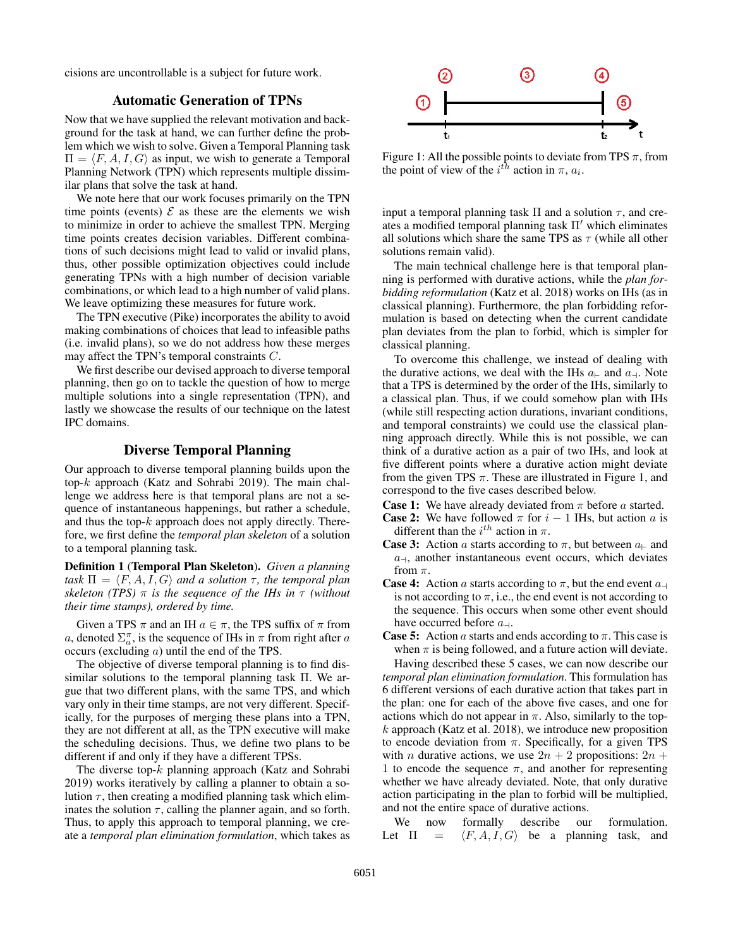cisions are uncontrollable is a subject for future work.

## Automatic Generation of TPNs

Now that we have supplied the relevant motivation and background for the task at hand, we can further define the problem which we wish to solve. Given a Temporal Planning task  $\Pi = \langle F, A, I, G \rangle$  as input, we wish to generate a Temporal Planning Network (TPN) which represents multiple dissimilar plans that solve the task at hand.

We note here that our work focuses primarily on the TPN time points (events)  $\mathcal E$  as these are the elements we wish to minimize in order to achieve the smallest TPN. Merging time points creates decision variables. Different combinations of such decisions might lead to valid or invalid plans, thus, other possible optimization objectives could include generating TPNs with a high number of decision variable combinations, or which lead to a high number of valid plans. We leave optimizing these measures for future work.

The TPN executive (Pike) incorporates the ability to avoid making combinations of choices that lead to infeasible paths (i.e. invalid plans), so we do not address how these merges may affect the TPN's temporal constraints C.

We first describe our devised approach to diverse temporal planning, then go on to tackle the question of how to merge multiple solutions into a single representation (TPN), and lastly we showcase the results of our technique on the latest IPC domains.

## Diverse Temporal Planning

Our approach to diverse temporal planning builds upon the top-k approach (Katz and Sohrabi 2019). The main challenge we address here is that temporal plans are not a sequence of instantaneous happenings, but rather a schedule, and thus the top- $k$  approach does not apply directly. Therefore, we first define the *temporal plan skeleton* of a solution to a temporal planning task.

Definition 1 (Temporal Plan Skeleton). *Given a planning task*  $\Pi = \langle F, A, I, G \rangle$  *and a solution*  $\tau$ *, the temporal plan skeleton (TPS)* π *is the sequence of the IHs in* τ *(without their time stamps), ordered by time.*

Given a TPS  $\pi$  and an IH  $a \in \pi$ , the TPS suffix of  $\pi$  from a, denoted  $\Sigma_a^{\pi}$ , is the sequence of IHs in  $\pi$  from right after a occurs (excluding a) until the end of the TPS.

The objective of diverse temporal planning is to find dissimilar solutions to the temporal planning task Π. We argue that two different plans, with the same TPS, and which vary only in their time stamps, are not very different. Specifically, for the purposes of merging these plans into a TPN, they are not different at all, as the TPN executive will make the scheduling decisions. Thus, we define two plans to be different if and only if they have a different TPSs.

The diverse top- $k$  planning approach (Katz and Sohrabi 2019) works iteratively by calling a planner to obtain a solution  $\tau$ , then creating a modified planning task which eliminates the solution  $\tau$ , calling the planner again, and so forth. Thus, to apply this approach to temporal planning, we create a *temporal plan elimination formulation*, which takes as



Figure 1: All the possible points to deviate from TPS  $\pi$ , from the point of view of the  $i^{th}$  action in  $\pi$ ,  $a_i$ .

input a temporal planning task  $\Pi$  and a solution  $\tau$ , and creates a modified temporal planning task  $\Pi'$  which eliminates all solutions which share the same TPS as  $\tau$  (while all other solutions remain valid).

The main technical challenge here is that temporal planning is performed with durative actions, while the *plan forbidding reformulation* (Katz et al. 2018) works on IHs (as in classical planning). Furthermore, the plan forbidding reformulation is based on detecting when the current candidate plan deviates from the plan to forbid, which is simpler for classical planning.

To overcome this challenge, we instead of dealing with the durative actions, we deal with the IHs  $a_{\text{+}}$  and  $a_{\text{-}}$ . Note that a TPS is determined by the order of the IHs, similarly to a classical plan. Thus, if we could somehow plan with IHs (while still respecting action durations, invariant conditions, and temporal constraints) we could use the classical planning approach directly. While this is not possible, we can think of a durative action as a pair of two IHs, and look at five different points where a durative action might deviate from the given TPS  $\pi$ . These are illustrated in Figure 1, and correspond to the five cases described below.

- **Case 1:** We have already deviated from  $\pi$  before a started.
- **Case 2:** We have followed  $\pi$  for  $i 1$  IHs, but action a is different than the  $i^{th}$  action in  $\pi$ .
- **Case 3:** Action a starts according to  $\pi$ , but between  $a_{\text{+}}$  and  $a_{\dashv}$ , another instantaneous event occurs, which deviates from  $\pi$ .
- **Case 4:** Action a starts according to  $\pi$ , but the end event  $a_{\text{+}}$ is not according to  $\pi$ , i.e., the end event is not according to the sequence. This occurs when some other event should have occurred before  $a_{\dashv}$ .
- **Case 5:** Action a starts and ends according to  $\pi$ . This case is when  $\pi$  is being followed, and a future action will deviate. Having described these 5 cases, we can now describe our

*temporal plan elimination formulation*. This formulation has 6 different versions of each durative action that takes part in the plan: one for each of the above five cases, and one for actions which do not appear in  $\pi$ . Also, similarly to the top $k$  approach (Katz et al. 2018), we introduce new proposition to encode deviation from  $\pi$ . Specifically, for a given TPS with *n* durative actions, we use  $2n + 2$  propositions:  $2n +$ 1 to encode the sequence  $\pi$ , and another for representing whether we have already deviated. Note, that only durative action participating in the plan to forbid will be multiplied, and not the entire space of durative actions.

We now formally describe our formulation. Let  $\Pi = \langle F, A, I, G \rangle$  be a planning task, and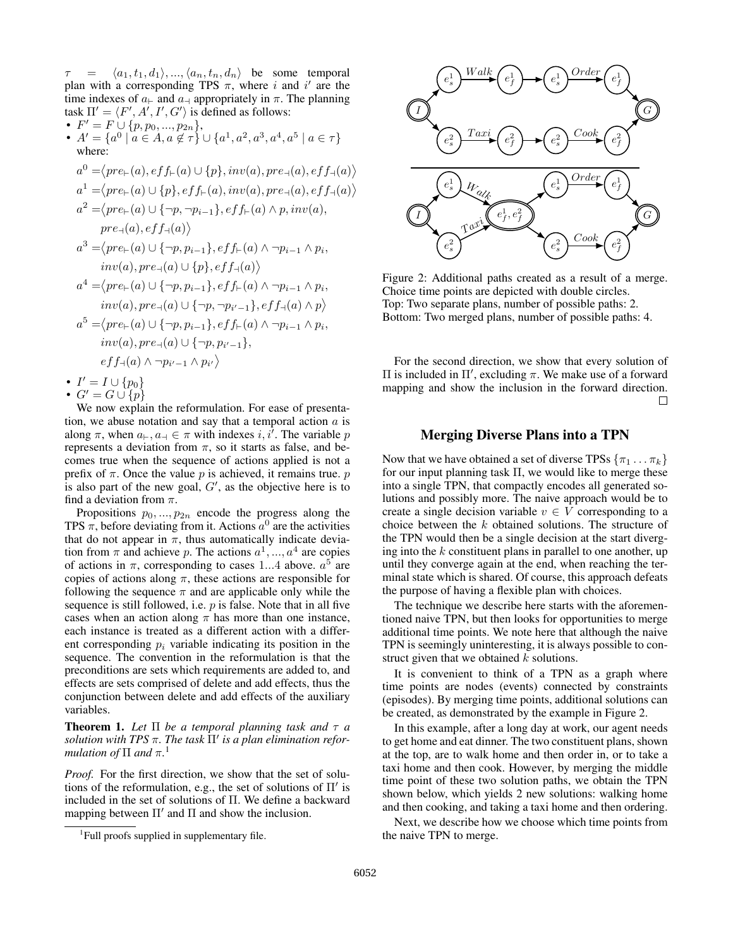$\tau = \langle a_1, t_1, d_1 \rangle, ..., \langle a_n, t_n, d_n \rangle$  be some temporal plan with a corresponding TPS  $\pi$ , where i and i' are the time indexes of  $a_{\vdash}$  and  $a_{\dashv}$  appropriately in  $\pi$ . The planning task  $\Pi' = \langle F', A', I', G' \rangle$  is defined as follows:

- $F' = F \cup \{p, p_0, ..., p_{2n}\},\$
- $A' = \{a^0 \mid a \in A, a \notin \tau\} \cup \{a^1, a^2, a^3, a^4, a^5 \mid a \in \tau\}$ where:
- $a^0 = \langle pre_\vdash(a), eff_\vdash(a) \cup \{p\}, inv(a), pre_\dashv(a), eff_\dashv(a) \rangle$  $a^1 = \langle pre_\vdash(a) \cup \{p\}, eff_\vdash(a), inv(a), pre_\dashv(a), eff_\dashv(a) \rangle$  $a^2 = \langle pre_\vdash(a) \cup \{\neg p, \neg p_{i-1}\}, eff_\vdash(a) \land p, inv(a),$  $pre_{\dashv}(a), eff_{\dashv}(a)\big\rangle$  $a^3 = \langle pre_\vdash(a) \cup \{\neg p, p_{i-1}\}, eff_\vdash(a) \land \neg p_{i-1} \land p_i,$  $inv(a), pre_{\dashv}(a) \cup \{p\}, eff_{\dashv}(a) \rangle$  $a^4 = \langle pre_\vdash(a) \cup \{\neg p, p_{i-1}\}, ef f_\vdash(a) \land \neg p_{i-1} \land p_i,$  $inv(a), pre_{\dashv}(a) \cup {\uparrow p, \neg p_{i'-1}}, eff_{\dashv}(a) \land p\rangle$  $a^5 = \langle pre_\vdash(a) \cup \{\neg p, p_{i-1}\}, eff_\vdash(a) \land \neg p_{i-1} \land p_i,$ <sup>0</sup>−1},

$$
inv(a), pre_{\neg}(a) \cup \{\neg p, p_{i'-1}\}
$$

$$
eff_{\exists}(a) \wedge \neg p_{i'-1} \wedge p_i
$$

• 
$$
I' = I \cup \{p_0\}
$$

• 
$$
G' = G \cup \{p\}
$$

We now explain the reformulation. For ease of presentation, we abuse notation and say that a temporal action  $a$  is along  $\pi$ , when  $a_{\vdash}, a_{\dashv} \in \pi$  with indexes  $i, i^{\dagger}$ . The variable p represents a deviation from  $\pi$ , so it starts as false, and becomes true when the sequence of actions applied is not a prefix of  $\pi$ . Once the value p is achieved, it remains true. p is also part of the new goal,  $G'$ , as the objective here is to find a deviation from  $\pi$ .

 $\overline{\phantom{a}}$  $\rangle$ 

Propositions  $p_0, ..., p_{2n}$  encode the progress along the TPS  $\pi$ , before deviating from it. Actions  $a^0$  are the activities that do not appear in  $\pi$ , thus automatically indicate deviation from  $\pi$  and achieve p. The actions  $a^1, ..., a^4$  are copies of actions in  $\pi$ , corresponding to cases 1...4 above.  $a^5$  are copies of actions along  $\pi$ , these actions are responsible for following the sequence  $\pi$  and are applicable only while the sequence is still followed, i.e.  $p$  is false. Note that in all five cases when an action along  $\pi$  has more than one instance, each instance is treated as a different action with a different corresponding  $p_i$  variable indicating its position in the sequence. The convention in the reformulation is that the preconditions are sets which requirements are added to, and effects are sets comprised of delete and add effects, thus the conjunction between delete and add effects of the auxiliary variables.

**Theorem 1.** Let  $\Pi$  be a temporal planning task and  $\tau$  a *solution with TPS*  $\pi$ . The task  $\Pi'$  is a plan elimination refor*mulation of* Π *and* π*.* 1

*Proof.* For the first direction, we show that the set of solutions of the reformulation, e.g., the set of solutions of  $\Pi'$  is included in the set of solutions of Π. We define a backward mapping between  $\Pi'$  and  $\Pi$  and show the inclusion.



Figure 2: Additional paths created as a result of a merge. Choice time points are depicted with double circles. Top: Two separate plans, number of possible paths: 2. Bottom: Two merged plans, number of possible paths: 4.

For the second direction, we show that every solution of Π is included in  $\Pi'$ , excluding π. We make use of a forward mapping and show the inclusion in the forward direction.  $\Box$ 

# Merging Diverse Plans into a TPN

Now that we have obtained a set of diverse TPSs  $\{\pi_1 \dots \pi_k\}$ for our input planning task  $\Pi$ , we would like to merge these into a single TPN, that compactly encodes all generated solutions and possibly more. The naive approach would be to create a single decision variable  $v \in V$  corresponding to a choice between the k obtained solutions. The structure of the TPN would then be a single decision at the start diverging into the  $k$  constituent plans in parallel to one another, up until they converge again at the end, when reaching the terminal state which is shared. Of course, this approach defeats the purpose of having a flexible plan with choices.

The technique we describe here starts with the aforementioned naive TPN, but then looks for opportunities to merge additional time points. We note here that although the naive TPN is seemingly uninteresting, it is always possible to construct given that we obtained  $k$  solutions.

It is convenient to think of a TPN as a graph where time points are nodes (events) connected by constraints (episodes). By merging time points, additional solutions can be created, as demonstrated by the example in Figure 2.

In this example, after a long day at work, our agent needs to get home and eat dinner. The two constituent plans, shown at the top, are to walk home and then order in, or to take a taxi home and then cook. However, by merging the middle time point of these two solution paths, we obtain the TPN shown below, which yields 2 new solutions: walking home and then cooking, and taking a taxi home and then ordering.

Next, we describe how we choose which time points from the naive TPN to merge.

<sup>&</sup>lt;sup>1</sup>Full proofs supplied in supplementary file.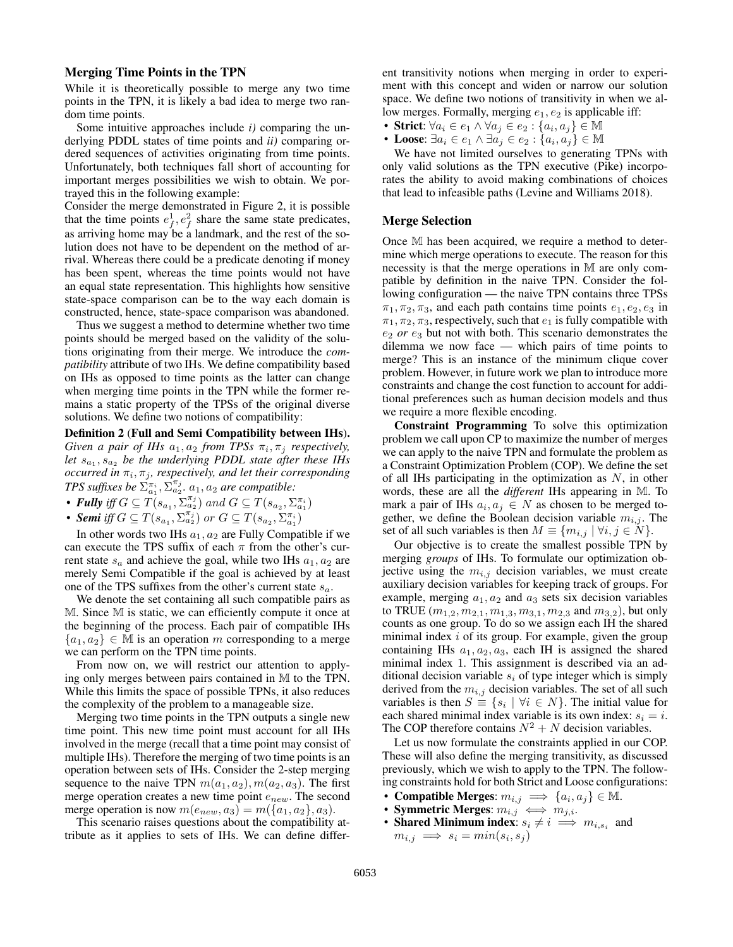#### Merging Time Points in the TPN

While it is theoretically possible to merge any two time points in the TPN, it is likely a bad idea to merge two random time points.

Some intuitive approaches include *i)* comparing the underlying PDDL states of time points and *ii)* comparing ordered sequences of activities originating from time points. Unfortunately, both techniques fall short of accounting for important merges possibilities we wish to obtain. We portrayed this in the following example:

Consider the merge demonstrated in Figure 2, it is possible that the time points  $e_f^1, e_f^2$  share the same state predicates, as arriving home may be a landmark, and the rest of the solution does not have to be dependent on the method of arrival. Whereas there could be a predicate denoting if money has been spent, whereas the time points would not have an equal state representation. This highlights how sensitive state-space comparison can be to the way each domain is constructed, hence, state-space comparison was abandoned.

Thus we suggest a method to determine whether two time points should be merged based on the validity of the solutions originating from their merge. We introduce the *compatibility* attribute of two IHs. We define compatibility based on IHs as opposed to time points as the latter can change when merging time points in the TPN while the former remains a static property of the TPSs of the original diverse solutions. We define two notions of compatibility:

Definition 2 (Full and Semi Compatibility between IHs).  $Given \ a \ pair \ of \ IHs \ a_1, a_2 \ from \ TPSs \ \pi_i, \pi_j \ respectively,$ let  $s_{a_1}, s_{a_2}$  be the underlying PDDL state after these IHs  $occurred in  $\pi_i$ ,  $\pi_j$ , respectively, and let their corresponding$ *TPS suffixes be*  $\sum_{a_1}^{\pi_i}$ ,  $\sum_{a_2}^{\pi_j}$ .  $a_1$ ,  $a_2$  *are compatible:* 

- **Fully** iff  $G \subseteq T(s_{a_1}, \Sigma_{a_2}^{\pi_j})$  and  $G \subseteq T(s_{a_2}, \Sigma_{a_1}^{\pi_i})$
- **Semi** iff  $G \subseteq T(s_{a_1}, \Sigma_{a_2}^{\pi_j})$  or  $G \subseteq T(s_{a_2}, \Sigma_{a_1}^{\pi_i})$

In other words two IHs  $a_1, a_2$  are Fully Compatible if we can execute the TPS suffix of each  $\pi$  from the other's current state  $s_a$  and achieve the goal, while two IHs  $a_1, a_2$  are merely Semi Compatible if the goal is achieved by at least one of the TPS suffixes from the other's current state  $s_a$ .

We denote the set containing all such compatible pairs as M. Since M is static, we can efficiently compute it once at the beginning of the process. Each pair of compatible IHs  $\{a_1, a_2\} \in \mathbb{M}$  is an operation m corresponding to a merge we can perform on the TPN time points.

From now on, we will restrict our attention to applying only merges between pairs contained in M to the TPN. While this limits the space of possible TPNs, it also reduces the complexity of the problem to a manageable size.

Merging two time points in the TPN outputs a single new time point. This new time point must account for all IHs involved in the merge (recall that a time point may consist of multiple IHs). Therefore the merging of two time points is an operation between sets of IHs. Consider the 2-step merging sequence to the naive TPN  $m(a_1, a_2)$ ,  $m(a_2, a_3)$ . The first merge operation creates a new time point  $e_{new}$ . The second merge operation is now  $m(e_{new}, a_3) = m({a_1, a_2}, a_3)$ .

This scenario raises questions about the compatibility attribute as it applies to sets of IHs. We can define different transitivity notions when merging in order to experiment with this concept and widen or narrow our solution space. We define two notions of transitivity in when we allow merges. Formally, merging  $e_1, e_2$  is applicable iff:

- Strict:  $\forall a_i \in e_1 \land \forall a_j \in e_2 : \{a_i, a_j\} \in \mathbb{M}$
- Loose:  $\exists a_i \in e_1 \land \exists a_j \in e_2 : \{a_i, a_j\} \in \mathbb{M}$

We have not limited ourselves to generating TPNs with only valid solutions as the TPN executive (Pike) incorporates the ability to avoid making combinations of choices that lead to infeasible paths (Levine and Williams 2018).

#### Merge Selection

Once M has been acquired, we require a method to determine which merge operations to execute. The reason for this necessity is that the merge operations in M are only compatible by definition in the naive TPN. Consider the following configuration — the naive TPN contains three TPSs  $\pi_1, \pi_2, \pi_3$ , and each path contains time points  $e_1, e_2, e_3$  in  $\pi_1, \pi_2, \pi_3$ , respectively, such that  $e_1$  is fully compatible with  $e_2$  *or*  $e_3$  but not with both. This scenario demonstrates the dilemma we now face — which pairs of time points to merge? This is an instance of the minimum clique cover problem. However, in future work we plan to introduce more constraints and change the cost function to account for additional preferences such as human decision models and thus we require a more flexible encoding.

Constraint Programming To solve this optimization problem we call upon CP to maximize the number of merges we can apply to the naive TPN and formulate the problem as a Constraint Optimization Problem (COP). We define the set of all IHs participating in the optimization as  $N$ , in other words, these are all the *different* IHs appearing in M. To mark a pair of IHs  $a_i, a_j \in N$  as chosen to be merged together, we define the Boolean decision variable  $m_{i,j}$ . The set of all such variables is then  $M \equiv \{m_{i,j} \mid \forall i, j \in N\}.$ 

Our objective is to create the smallest possible TPN by merging *groups* of IHs. To formulate our optimization objective using the  $m_{i,j}$  decision variables, we must create auxiliary decision variables for keeping track of groups. For example, merging  $a_1, a_2$  and  $a_3$  sets six decision variables to TRUE  $(m_{1,2}, m_{2,1}, m_{1,3}, m_{3,1}, m_{2,3} \text{ and } m_{3,2})$ , but only counts as one group. To do so we assign each IH the shared minimal index  $i$  of its group. For example, given the group containing IHs  $a_1, a_2, a_3$ , each IH is assigned the shared minimal index 1. This assignment is described via an additional decision variable  $s_i$  of type integer which is simply derived from the  $m_{i,j}$  decision variables. The set of all such variables is then  $S \equiv \{s_i \mid \forall i \in N\}$ . The initial value for each shared minimal index variable is its own index:  $s_i = i$ . The COP therefore contains  $N^2 + N$  decision variables.

Let us now formulate the constraints applied in our COP. These will also define the merging transitivity, as discussed previously, which we wish to apply to the TPN. The following constraints hold for both Strict and Loose configurations:

- Compatible Merges:  $m_{i,j} \implies \{a_i, a_j\} \in \mathbb{M}$ .
- Symmetric Merges:  $m_{i,j} \iff m_{j,i}$ .
- Shared Minimum index:  $s_i \neq i \implies m_{i,s_i}$  and  $m_{i,j} \implies s_i = min(s_i, s_j)$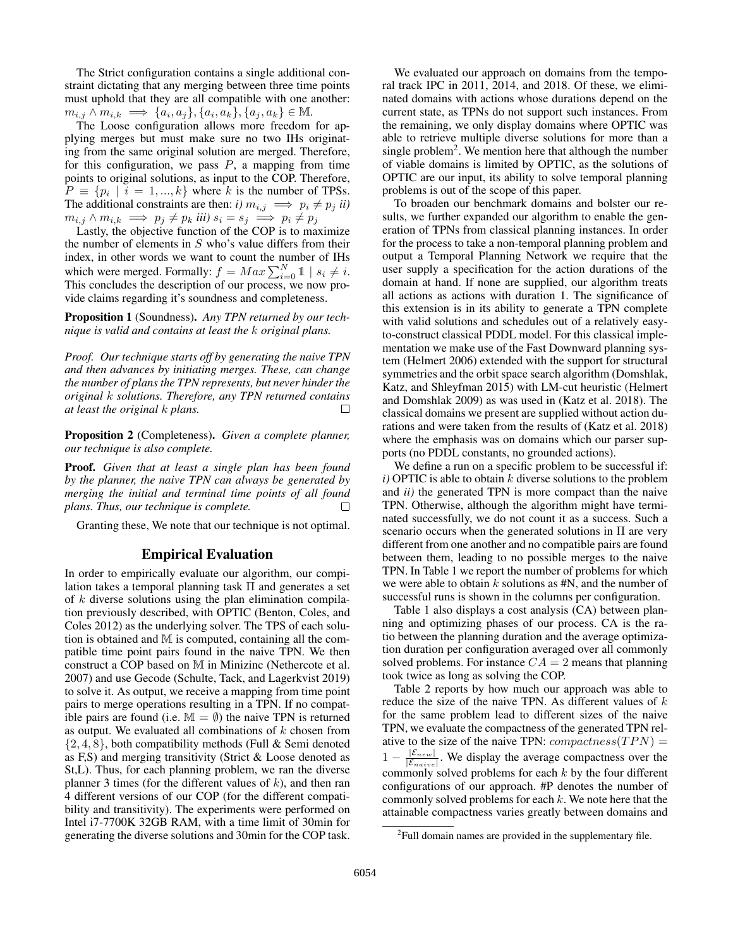The Strict configuration contains a single additional constraint dictating that any merging between three time points must uphold that they are all compatible with one another:  $m_{i,j} \wedge m_{i,k} \implies \{a_i, a_j\}, \{a_i, a_k\}, \{a_j, a_k\} \in \mathbb{M}.$ 

The Loose configuration allows more freedom for applying merges but must make sure no two IHs originating from the same original solution are merged. Therefore, for this configuration, we pass  $P$ , a mapping from time points to original solutions, as input to the COP. Therefore,  $P \equiv \{p_i \mid i = 1, ..., k\}$  where k is the number of TPSs. The additional constraints are then: *i*)  $m_{i,j} \implies p_i \neq p_j$  *ii*)  $m_{i,j} \wedge m_{i,k} \implies p_j \neq p_k$  *iii*)  $s_i = s_j \implies p_i \neq p_j$ 

Lastly, the objective function of the COP is to maximize the number of elements in  $S$  who's value differs from their index, in other words we want to count the number of IHs which were merged. Formally:  $f = Max \sum_{i=0}^{N} 1 | s_i \neq i$ . This concludes the description of our process, we now provide claims regarding it's soundness and completeness.

Proposition 1 (Soundness). *Any TPN returned by our technique is valid and contains at least the* k *original plans.*

*Proof. Our technique starts off by generating the naive TPN and then advances by initiating merges. These, can change the number of plans the TPN represents, but never hinder the original* k *solutions. Therefore, any TPN returned contains at least the original* k *plans.* П

Proposition 2 (Completeness). *Given a complete planner, our technique is also complete.*

Proof. *Given that at least a single plan has been found by the planner, the naive TPN can always be generated by merging the initial and terminal time points of all found plans. Thus, our technique is complete.* П

Granting these, We note that our technique is not optimal.

## Empirical Evaluation

In order to empirically evaluate our algorithm, our compilation takes a temporal planning task Π and generates a set of  $k$  diverse solutions using the plan elimination compilation previously described, with OPTIC (Benton, Coles, and Coles 2012) as the underlying solver. The TPS of each solution is obtained and M is computed, containing all the compatible time point pairs found in the naive TPN. We then construct a COP based on M in Minizinc (Nethercote et al. 2007) and use Gecode (Schulte, Tack, and Lagerkvist 2019) to solve it. As output, we receive a mapping from time point pairs to merge operations resulting in a TPN. If no compatible pairs are found (i.e.  $M = \emptyset$ ) the naive TPN is returned as output. We evaluated all combinations of  $k$  chosen from  $\{2,4,8\}$ , both compatibility methods (Full & Semi denoted as F,S) and merging transitivity (Strict & Loose denoted as St,L). Thus, for each planning problem, we ran the diverse planner 3 times (for the different values of  $k$ ), and then ran 4 different versions of our COP (for the different compatibility and transitivity). The experiments were performed on Intel i7-7700K 32GB RAM, with a time limit of 30min for generating the diverse solutions and 30min for the COP task.

We evaluated our approach on domains from the temporal track IPC in 2011, 2014, and 2018. Of these, we eliminated domains with actions whose durations depend on the current state, as TPNs do not support such instances. From the remaining, we only display domains where OPTIC was able to retrieve multiple diverse solutions for more than a single problem<sup>2</sup>. We mention here that although the number of viable domains is limited by OPTIC, as the solutions of OPTIC are our input, its ability to solve temporal planning problems is out of the scope of this paper.

To broaden our benchmark domains and bolster our results, we further expanded our algorithm to enable the generation of TPNs from classical planning instances. In order for the process to take a non-temporal planning problem and output a Temporal Planning Network we require that the user supply a specification for the action durations of the domain at hand. If none are supplied, our algorithm treats all actions as actions with duration 1. The significance of this extension is in its ability to generate a TPN complete with valid solutions and schedules out of a relatively easyto-construct classical PDDL model. For this classical implementation we make use of the Fast Downward planning system (Helmert 2006) extended with the support for structural symmetries and the orbit space search algorithm (Domshlak, Katz, and Shleyfman 2015) with LM-cut heuristic (Helmert and Domshlak 2009) as was used in (Katz et al. 2018). The classical domains we present are supplied without action durations and were taken from the results of (Katz et al. 2018) where the emphasis was on domains which our parser supports (no PDDL constants, no grounded actions).

We define a run on a specific problem to be successful if:  $i)$  OPTIC is able to obtain  $k$  diverse solutions to the problem and *ii)* the generated TPN is more compact than the naive TPN. Otherwise, although the algorithm might have terminated successfully, we do not count it as a success. Such a scenario occurs when the generated solutions in Π are very different from one another and no compatible pairs are found between them, leading to no possible merges to the naive TPN. In Table 1 we report the number of problems for which we were able to obtain  $k$  solutions as  $\sharp N$ , and the number of successful runs is shown in the columns per configuration.

Table 1 also displays a cost analysis (CA) between planning and optimizing phases of our process. CA is the ratio between the planning duration and the average optimization duration per configuration averaged over all commonly solved problems. For instance  $CA = 2$  means that planning took twice as long as solving the COP.

Table 2 reports by how much our approach was able to reduce the size of the naive TPN. As different values of  $k$ for the same problem lead to different sizes of the naive TPN, we evaluate the compactness of the generated TPN relative to the size of the naive TPN:  $compactness(TPN)$  =  $1-\frac{|\mathcal{E}_{new}|}{|\mathcal{E}_{new}|}$  $\frac{|E_{new}|}{|E_{naive}|}$ . We display the average compactness over the commonly solved problems for each  $k$  by the four different configurations of our approach. #P denotes the number of commonly solved problems for each  $k$ . We note here that the attainable compactness varies greatly between domains and

<sup>&</sup>lt;sup>2</sup>Full domain names are provided in the supplementary file.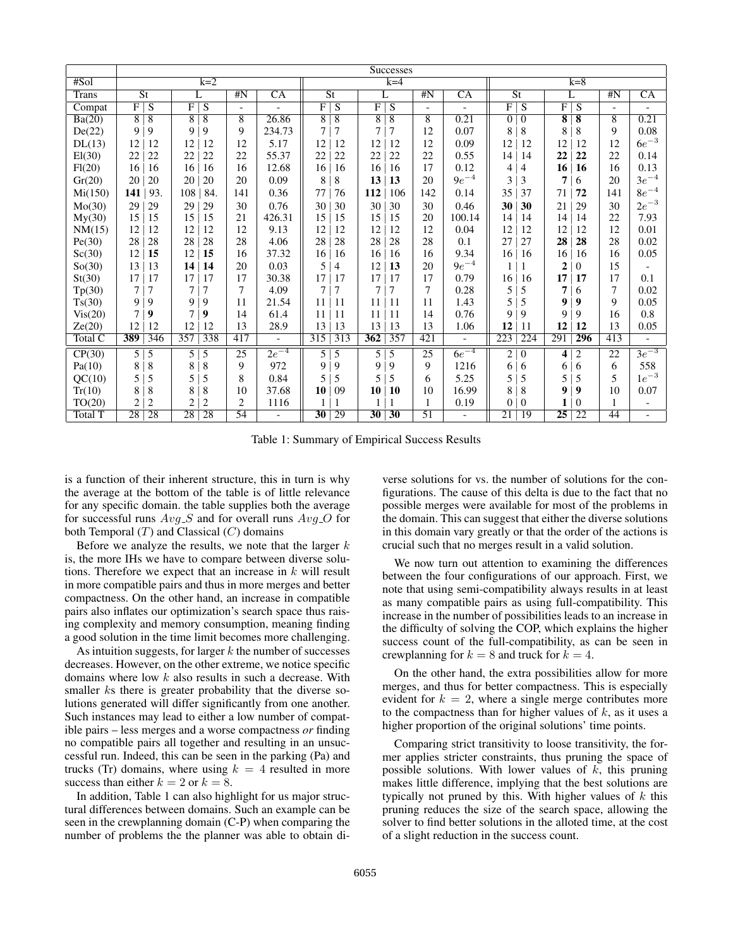|         | <b>Successes</b>         |                |                 |                |                          |                          |                          |                |     |                 |                          |                          |                          |                  |                         |                    |                          |                          |
|---------|--------------------------|----------------|-----------------|----------------|--------------------------|--------------------------|--------------------------|----------------|-----|-----------------|--------------------------|--------------------------|--------------------------|------------------|-------------------------|--------------------|--------------------------|--------------------------|
| #Sol    | $k=2$                    |                |                 |                |                          |                          | $k=4$                    |                |     |                 |                          |                          | $k=8$                    |                  |                         |                    |                          |                          |
| Trans   | $\overline{\mathsf{St}}$ |                | L               |                | #N                       | $\overline{CA}$          | $\overline{\mathsf{St}}$ |                | L   |                 | #N                       | $\overline{CA}$          | $\overline{\mathsf{St}}$ |                  | L                       |                    | #N                       | $\overline{CA}$          |
| Compat  | F                        | S              | F               | S              | $\overline{\phantom{0}}$ | $\blacksquare$           | $\overline{F}$           | S              | F   | S               | $\overline{\phantom{a}}$ | $\blacksquare$           | $\overline{\mathrm{F}}$  | S                | F                       | S                  | $\overline{\phantom{a}}$ |                          |
| Ba(20)  | $\overline{8}$           | $\overline{8}$ | $\overline{8}$  | $\overline{8}$ | $\overline{8}$           | 26.86                    | $\overline{8}$           | $\overline{8}$ | 8   | $\overline{8}$  | $\overline{8}$           | 0.21                     | $\overline{0}$           | $\overline{0}$   | $\overline{\mathbf{8}}$ | $\overline{\bf 8}$ | $\overline{8}$           | 0.21                     |
| De(22)  | 9                        | 9              | 9               | 9              | 9                        | 234.73                   | 7                        | 7              | 7   | 7               | 12                       | 0.07                     | 8                        | $\,$ 8 $\,$      | 8                       | 8                  | 9                        | 0.08                     |
| DL(13)  | 12                       | 12             | 12              | 12             | 12                       | 5.17                     | 12                       | 12             | 12  | 12              | 12                       | 0.09                     | 12                       | 12               | 12                      | 12                 | 12                       | $6e^{-3}$                |
| El(30)  | 22                       | 22             | 22              | 22             | 22                       | 55.37                    | 22                       | 22             | 22  | 22              | 22                       | 0.55                     | 14                       | 14               | 22                      | 22                 | 22                       | 0.14                     |
| Fl(20)  | 16                       | 16             | 16              | 16             | 16                       | 12.68                    | 16                       | 16             | 16  | 16              | 17                       | 0.12                     | 4                        | 4                | 16                      | 16                 | 16                       | 0.13                     |
| Gr(20)  | 20                       | 20             | 20              | 20             | 20                       | 0.09                     | 8                        | 8              | 13  | 13              | 20                       | $9e^{-4}$                | 3                        | 3                | 7                       | 6                  | 20                       | $3e^{-4}$                |
| Mi(150) | 141                      | 93.            | 108             | 84.            | 141                      | 0.36                     | 77                       | 76             | 112 | 106             | 142                      | 0.14                     | 35                       | 37               | 71                      | 72                 | 141                      | $8e^{-4}$                |
| Mo(30)  | 29                       | 29             | 29              | 29             | 30                       | 0.76                     | 30                       | 30             | 30  | 30              | 30                       | 0.46                     | 30                       | 30               | 21                      | 29                 | 30                       | $2e^{-3}$                |
| My(30)  | 15                       | 15             | 15              | 15             | 21                       | 426.31                   | 15                       | 15             | 15  | 15              | 20                       | 100.14                   | 14                       | 14               | 14                      | 14                 | 22                       | 7.93                     |
| NM(15)  | 12                       | 12             | 12              | 12             | 12                       | 9.13                     | 12                       | 12             | 12  | 12              | 12                       | 0.04                     | 12                       | 12               | 12                      | 12                 | 12                       | 0.01                     |
| Pe(30)  | 28                       | 28             | 28              | 28             | 28                       | 4.06                     | 28                       | 28             | 28  | 28              | 28                       | 0.1                      | 27                       | 27               | 28                      | 28                 | 28                       | 0.02                     |
| Sc(30)  | 12                       | 15             | 12              | 15             | 16                       | 37.32                    | 16                       | 16             | 16  | 16              | 16                       | 9.34                     | 16                       | 16               | 16                      | 16                 | 16                       | 0.05                     |
| So(30)  | 13                       | 13             | 14              | 14             | 20                       | 0.03                     | 5                        | 4              | 12  | 13              | 20                       | $9e^{-4}$                | 1                        |                  | 2                       | 0                  | 15                       |                          |
| St(30)  | 17                       | 17             | 17              | 17             | 17                       | 30.38                    | 17                       | 17             | 17  | 17              | 17                       | 0.79                     | 16                       | 16               | 17                      | 17                 | 17                       | 0.1                      |
| Tp(30)  | 7                        | 7              | 7               | $\overline{7}$ | 7                        | 4.09                     | 7                        | 7              |     | 7               | 7                        | 0.28                     | 5                        | 5                | 7                       | 6                  | $\overline{7}$           | 0.02                     |
| Ts(30)  | 9                        | 9              | 9               | 9              | 11                       | 21.54                    | 11                       | 11             | 11  | 11              | 11                       | 1.43                     | 5                        | 5                | 9                       | $\boldsymbol{9}$   | 9                        | 0.05                     |
| Vis(20) | $\overline{7}$           | 9              | 7               | 9              | 14                       | 61.4                     | 11                       | 11             | 11  | 11              | 14                       | 0.76                     | 9                        | 9                | 9                       | 9                  | 16                       | 0.8                      |
| Ze(20)  | 12                       | 12             | 12              | 12             | 13                       | 28.9                     | 13                       | 13             | 13  | 13              | 13                       | 1.06                     | 12                       | 11               | 12                      | 12                 | 13                       | 0.05                     |
| Total C | 389                      | 346            | 357             | 338            | 417                      | $\overline{\phantom{a}}$ | 315                      | 313            | 362 | 357             | 421                      | $\overline{\phantom{a}}$ | 223                      | 224              | 291                     | 296                | 413                      | $\overline{\phantom{a}}$ |
| CP(30)  | 5                        | 5              | 5               | 5              | 25                       | $2e^{-4}$                | 5 <sup>1</sup>           | 5              | 5   | 5               | 25                       | $6e^{-4}$                | 2                        | $\boldsymbol{0}$ | 4                       | 2                  | 22                       | $3e^{-3}$                |
| Pa(10)  | 8                        | 8              | 8               | 8              | 9                        | 972                      | 9                        | 9              | 9   | 9               | 9                        | 1216                     | 6                        | 6                | 6                       | 6                  | 6                        | 558                      |
| QC(10)  | 5                        | 5              | 5               | 5              | 8                        | 0.84                     | 5                        | 5              | 5   | 5               | 6                        | 5.25                     | 5                        | 5                | 5                       | 5                  | 5                        | $1e^{-3}$                |
| Tr(10)  | 8                        | 8              | 8               | 8              | 10                       | 37.68                    | 10                       | 09             | 10  | 10              | 10                       | 16.99                    | 8                        | 8                | 9                       | 9                  | 10                       | 0.07                     |
| TO(20)  | $\sqrt{2}$               | $\overline{c}$ | $\overline{c}$  | $\overline{c}$ | $\overline{c}$           | 1116                     |                          |                |     |                 | 1                        | 0.19                     | $\theta$                 | $\boldsymbol{0}$ | 1                       | $\theta$           | 1                        | $\overline{\phantom{0}}$ |
| Total T | $\overline{28}$          | 28             | $\overline{28}$ | 28             | 54                       | $\blacksquare$           | $\overline{30}$          | 29             | 30  | $\overline{30}$ | $\overline{51}$          | $\overline{\phantom{a}}$ | $\overline{21}$          | 19               | $\overline{25}$         | $\overline{22}$    | 44                       |                          |

Table 1: Summary of Empirical Success Results

is a function of their inherent structure, this in turn is why the average at the bottom of the table is of little relevance for any specific domain. the table supplies both the average for successful runs  $Avg_S$  and for overall runs  $Avg_O$  for both Temporal  $(T)$  and Classical  $(C)$  domains

Before we analyze the results, we note that the larger  $k$ is, the more IHs we have to compare between diverse solutions. Therefore we expect that an increase in  $k$  will result in more compatible pairs and thus in more merges and better compactness. On the other hand, an increase in compatible pairs also inflates our optimization's search space thus raising complexity and memory consumption, meaning finding a good solution in the time limit becomes more challenging.

As intuition suggests, for larger  $k$  the number of successes decreases. However, on the other extreme, we notice specific domains where low k also results in such a decrease. With smaller ks there is greater probability that the diverse solutions generated will differ significantly from one another. Such instances may lead to either a low number of compatible pairs – less merges and a worse compactness *or* finding no compatible pairs all together and resulting in an unsuccessful run. Indeed, this can be seen in the parking (Pa) and trucks (Tr) domains, where using  $k = 4$  resulted in more success than either  $k = 2$  or  $k = 8$ .

In addition, Table 1 can also highlight for us major structural differences between domains. Such an example can be seen in the crewplanning domain (C-P) when comparing the number of problems the the planner was able to obtain di-

verse solutions for vs. the number of solutions for the configurations. The cause of this delta is due to the fact that no possible merges were available for most of the problems in the domain. This can suggest that either the diverse solutions in this domain vary greatly or that the order of the actions is crucial such that no merges result in a valid solution.

We now turn out attention to examining the differences between the four configurations of our approach. First, we note that using semi-compatibility always results in at least as many compatible pairs as using full-compatibility. This increase in the number of possibilities leads to an increase in the difficulty of solving the COP, which explains the higher success count of the full-compatibility, as can be seen in crewplanning for  $k = 8$  and truck for  $k = 4$ .

On the other hand, the extra possibilities allow for more merges, and thus for better compactness. This is especially evident for  $k = 2$ , where a single merge contributes more to the compactness than for higher values of  $k$ , as it uses a higher proportion of the original solutions' time points.

Comparing strict transitivity to loose transitivity, the former applies stricter constraints, thus pruning the space of possible solutions. With lower values of  $k$ , this pruning makes little difference, implying that the best solutions are typically not pruned by this. With higher values of  $k$  this pruning reduces the size of the search space, allowing the solver to find better solutions in the alloted time, at the cost of a slight reduction in the success count.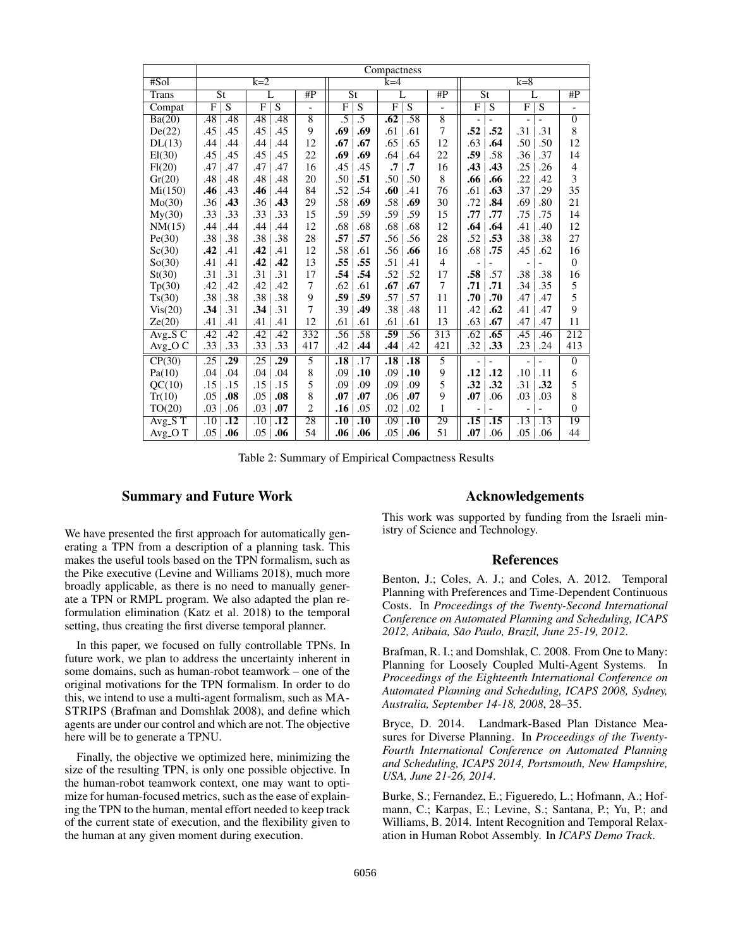|              | Compactness              |                  |                  |                  |                 |                          |                  |                  |                  |                  |                          |                |                              |                |                |  |
|--------------|--------------------------|------------------|------------------|------------------|-----------------|--------------------------|------------------|------------------|------------------|------------------|--------------------------|----------------|------------------------------|----------------|----------------|--|
| #Sol         | $k=2$                    |                  |                  |                  |                 |                          |                  | $k=4$            |                  |                  | $k=8$                    |                |                              |                |                |  |
| <b>Trans</b> | $\overline{\mathsf{St}}$ |                  | L                |                  | #P              | $\overline{\mathsf{St}}$ |                  | L                |                  | #P               | $\overline{\mathsf{St}}$ |                | $\overline{L}$               |                | #P             |  |
| Compat       | $\overline{\mathrm{F}}$  | $\overline{S}$   | F                | $\overline{S}$   | $\overline{a}$  | $\overline{\mathrm{F}}$  | $\overline{S}$   | F                | $\overline{S}$   | $\overline{a}$   | $\overline{F}$           | $\overline{S}$ | F                            | $\overline{S}$ |                |  |
| Ba(20)       | .48                      | .48              | .48              | .48              | $\overline{8}$  | .5                       | .5               | $\overline{.62}$ | .58              | $\overline{8}$   | $\blacksquare$           |                | $\qquad \qquad \blacksquare$ |                | $\overline{0}$ |  |
| De(22)       | .45                      | .45              | .45              | .45              | 9               | .69                      | .69              | .61              | .61              | 7                | .52                      | .52            | .31                          | .31            | 8              |  |
| DL(13)       | .44                      | .44              | .44              | .44              | 12              | .67                      | .67              | .65              | .65              | 12               | .63                      | .64            | .50                          | .50            | 12             |  |
| El(30)       | .45                      | .45              | .45              | .45              | 22              | .69                      | .69              | .64              | .64              | 22               | .59                      | .58            | .36                          | .37            | 14             |  |
| Fl(20)       | .47                      | .47              | .47              | .47              | 16              | .45                      | .45              | $\cdot$ 7        | $\cdot$ 7        | 16               | .43                      | .43            | .25                          | .26            | $\overline{4}$ |  |
| Gr(20)       | .48                      | .48              | .48              | .48              | 20              | .50                      | .51              | .50              | .50              | $\,$ 8 $\,$      | .66                      | .66            | .22                          | .42            | 3              |  |
| Mi(150)      | .46                      | .43              | .46              | .44              | 84              | .52                      | .54              | .60              | .41              | 76               | .61                      | .63            | .37                          | .29            | 35             |  |
| Mo(30)       | .36                      | .43              | .36              | .43              | 29              | .58                      | .69              | .58              | .69              | 30               | .72                      | .84            | .69                          | .80            | 21             |  |
| Mv(30)       | .33                      | .33              | .33              | .33              | 15              | .59                      | .59              | .59              | .59              | 15               | .77                      | .77            | .75                          | .75            | 14             |  |
| NM(15)       | .44                      | .44              | .44              | .44              | 12              | .68                      | .68              | .68              | .68              | 12               | .64                      | .64            | .41                          | .40            | 12             |  |
| Pe(30)       | .38                      | .38              | .38              | .38              | 28              | .57                      | .57              | .56              | .56              | 28               | .52                      | .53            | .38                          | .38            | 27             |  |
| Sc(30)       | .42                      | .41              | .42              | .41              | 12              | .58                      | .61              | .56              | .66              | 16               | .68                      | .75            | .45                          | .62            | 16             |  |
| So(30)       | .41                      | .41              | .42              | .42              | 13              | .55                      | .55              | .51              | .41              | $\overline{4}$   | $\overline{\phantom{0}}$ |                | $\overline{\phantom{a}}$     |                | $\mathbf{0}$   |  |
| St(30)       | .31                      | .31              | .31              | .31              | 17              | .54                      | .54              | .52              | .52              | 17               | .58                      | .57            | .38                          | .38            | 16             |  |
| Tp(30)       | .42                      | .42              | .42              | .42              | 7               | .62                      | .61              | .67              | .67              | 7                | .71                      | .71            | .34                          | .35            | 5              |  |
| Ts(30)       | .38                      | .38              | .38              | .38              | 9               | .59                      | .59              | .57              | .57              | 11               | .70                      | .70            | .47                          | .47            | 5              |  |
| Vis(20)      | .34                      | .31              | .34              | .31              | 7               | .39                      | .49              | .38              | .48              | 11               | .42                      | .62            | .41                          | .47            | 9              |  |
| Ze(20)       | .41                      | .41              | .41              | .41              | 12              | .61                      | .61              | .61              | .61              | 13               | .63                      | .67            | .47                          | .47            | 11             |  |
| $Avg_S C$    | $\overline{.42}$         | .42              | .42              | .42              | 332             | .56                      | .58              | .59              | .56              | $\overline{313}$ | .62                      | .65            | .45                          | .46            | 212            |  |
| Avg_O C      | .33                      | .33              | .33              | .33              | 417             | .42                      | .44              | .44              | .42              | 421              | .32                      | .33            | .23                          | .24            | 413            |  |
| CP(30)       | $\overline{.25}$         | .29              | $\overline{.25}$ | $\overline{.29}$ | $\overline{5}$  | $\overline{.18}$         | $\overline{.17}$ | $\overline{.18}$ | $\overline{.18}$ | $\overline{5}$   |                          |                |                              |                | $\overline{0}$ |  |
| Pa(10)       | .04                      | .04              | .04              | .04              | 8               | .09                      | .10              | .09              | .10              | 9                | .12                      | .12            | .10                          | .11            | 6              |  |
| QC(10)       | .15                      | .15              | .15              | .15              | 5               | .09                      | .09              | .09              | .09              | 5                | .32                      | .32            | .31                          | .32            | 5              |  |
| Tr(10)       | .05                      | .08              | .05              | .08              | 8               | .07                      | .07              | .06              | .07              | 9                | .07                      | .06            | .03                          | .03            | 8              |  |
| TO(20)       | .03                      | .06              | .03              | .07              | $\overline{2}$  | .16                      | .05              | .02              | .02              | $\mathbf{1}$     | $\overline{\phantom{0}}$ |                | $\overline{\phantom{0}}$     |                | $\overline{0}$ |  |
| $Avg_S T$    | $\overline{.10}$         | $\overline{.12}$ | $\overline{.10}$ | $\overline{.12}$ | $\overline{28}$ | $\overline{.10}$         | $\overline{.10}$ | .09              | $\overline{.10}$ | 29               | $\overline{.15}$         | .15            | $\overline{.13}$             | .13            | 19             |  |
| $Avg_OT$     | .05                      | .06              | .05              | .06              | 54              | .06                      | .06              | .05              | .06              | 51               | .07                      | .06            | .05                          | .06            | 44             |  |

Table 2: Summary of Empirical Compactness Results

## Summary and Future Work

We have presented the first approach for automatically generating a TPN from a description of a planning task. This makes the useful tools based on the TPN formalism, such as the Pike executive (Levine and Williams 2018), much more broadly applicable, as there is no need to manually generate a TPN or RMPL program. We also adapted the plan reformulation elimination (Katz et al. 2018) to the temporal setting, thus creating the first diverse temporal planner.

In this paper, we focused on fully controllable TPNs. In future work, we plan to address the uncertainty inherent in some domains, such as human-robot teamwork – one of the original motivations for the TPN formalism. In order to do this, we intend to use a multi-agent formalism, such as MA-STRIPS (Brafman and Domshlak 2008), and define which agents are under our control and which are not. The objective here will be to generate a TPNU.

Finally, the objective we optimized here, minimizing the size of the resulting TPN, is only one possible objective. In the human-robot teamwork context, one may want to optimize for human-focused metrics, such as the ease of explaining the TPN to the human, mental effort needed to keep track of the current state of execution, and the flexibility given to the human at any given moment during execution.

#### Acknowledgements

This work was supported by funding from the Israeli ministry of Science and Technology.

#### References

Benton, J.; Coles, A. J.; and Coles, A. 2012. Temporal Planning with Preferences and Time-Dependent Continuous Costs. In *Proceedings of the Twenty-Second International Conference on Automated Planning and Scheduling, ICAPS* 2012, Atibaia, São Paulo, Brazil, June 25-19, 2012.

Brafman, R. I.; and Domshlak, C. 2008. From One to Many: Planning for Loosely Coupled Multi-Agent Systems. In *Proceedings of the Eighteenth International Conference on Automated Planning and Scheduling, ICAPS 2008, Sydney, Australia, September 14-18, 2008*, 28–35.

Bryce, D. 2014. Landmark-Based Plan Distance Measures for Diverse Planning. In *Proceedings of the Twenty-Fourth International Conference on Automated Planning and Scheduling, ICAPS 2014, Portsmouth, New Hampshire, USA, June 21-26, 2014*.

Burke, S.; Fernandez, E.; Figueredo, L.; Hofmann, A.; Hofmann, C.; Karpas, E.; Levine, S.; Santana, P.; Yu, P.; and Williams, B. 2014. Intent Recognition and Temporal Relaxation in Human Robot Assembly. In *ICAPS Demo Track*.